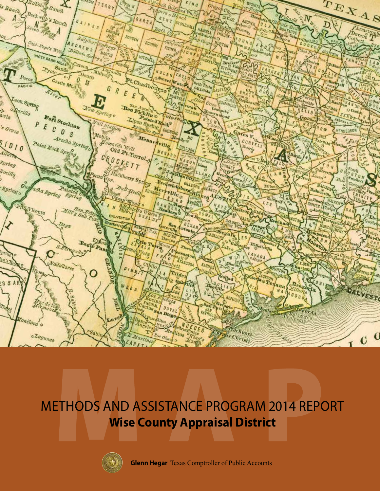

## METHODS AND ASSISTANCE PROGRAM 2014 REPORT **Wise County Appraisal District**



**Glenn Hegar** Texas Comptroller of Public Accounts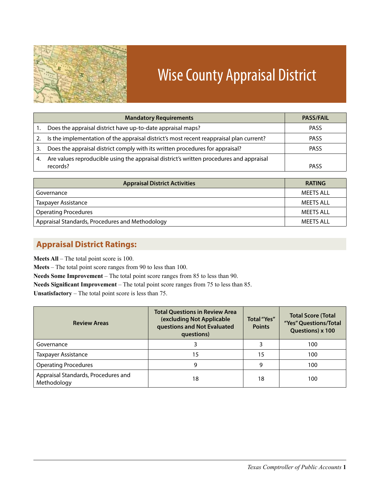

# Wise County Appraisal District

|    | <b>Mandatory Requirements</b>                                                           | <b>PASS/FAIL</b> |
|----|-----------------------------------------------------------------------------------------|------------------|
|    | Does the appraisal district have up-to-date appraisal maps?                             | <b>PASS</b>      |
| 2. | Is the implementation of the appraisal district's most recent reappraisal plan current? | <b>PASS</b>      |
| 3. | Does the appraisal district comply with its written procedures for appraisal?           | <b>PASS</b>      |
| 4. | Are values reproducible using the appraisal district's written procedures and appraisal |                  |
|    | records?                                                                                | <b>PASS</b>      |

| <b>Appraisal District Activities</b>            | <b>RATING</b> |
|-------------------------------------------------|---------------|
| Governance                                      | MFFTS ALL     |
| <b>Taxpayer Assistance</b>                      | MFFTS ALL     |
| <b>Operating Procedures</b>                     | MFFTS ALL     |
| Appraisal Standards, Procedures and Methodology | MEETS ALL     |

## **Appraisal District Ratings:**

**Meets All** – The total point score is 100.

**Meets** – The total point score ranges from 90 to less than 100.

**Needs Some Improvement** – The total point score ranges from 85 to less than 90.

**Needs Significant Improvement** – The total point score ranges from 75 to less than 85.

**Unsatisfactory** – The total point score is less than 75.

| <b>Review Areas</b>                                | <b>Total Questions in Review Area</b><br>(excluding Not Applicable<br>questions and Not Evaluated<br>questions) | <b>Total</b> "Yes"<br><b>Points</b> | <b>Total Score (Total</b><br>"Yes" Questions/Total<br>Questions) x 100<br>100<br>100<br>100 |  |  |
|----------------------------------------------------|-----------------------------------------------------------------------------------------------------------------|-------------------------------------|---------------------------------------------------------------------------------------------|--|--|
| Governance                                         | 3                                                                                                               |                                     |                                                                                             |  |  |
| <b>Taxpayer Assistance</b>                         | 15                                                                                                              | 15                                  |                                                                                             |  |  |
| <b>Operating Procedures</b>                        | 9                                                                                                               | 9                                   |                                                                                             |  |  |
| Appraisal Standards, Procedures and<br>Methodology | 18                                                                                                              | 18                                  | 100                                                                                         |  |  |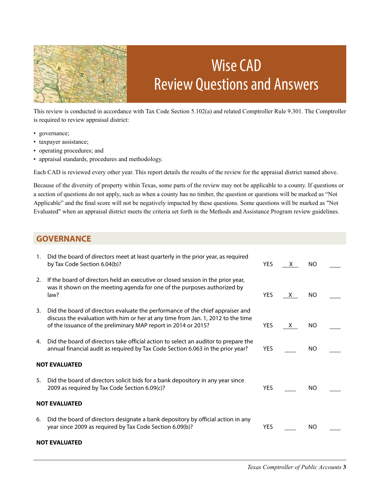

## Wise CAD Review Questions and Answers

This review is conducted in accordance with Tax Code Section 5.102(a) and related Comptroller Rule 9.301. The Comptroller is required to review appraisal district:

- governance;
- taxpayer assistance;
- • operating procedures; and
- • appraisal standards, procedures and methodology.

Each CAD is reviewed every other year. This report details the results of the review for the appraisal district named above.

Because of the diversity of property within Texas, some parts of the review may not be applicable to a county. If questions or a section of questions do not apply, such as when a county has no timber, the question or questions will be marked as "Not Applicable" and the final score will not be negatively impacted by these questions. Some questions will be marked as "Not Evaluated" when an appraisal district meets the criteria set forth in the Methods and Assistance Program review guidelines.

#### **GOVERNANCE**

| 1.                   | Did the board of directors meet at least quarterly in the prior year, as required<br>by Tax Code Section 6.04(b)?                                                                                                                    | <b>YES</b> | X. | NO.       |  |  |  |
|----------------------|--------------------------------------------------------------------------------------------------------------------------------------------------------------------------------------------------------------------------------------|------------|----|-----------|--|--|--|
| 2.                   | If the board of directors held an executive or closed session in the prior year,<br>was it shown on the meeting agenda for one of the purposes authorized by<br>law?                                                                 | <b>YES</b> | X. | NO.       |  |  |  |
| 3.                   | Did the board of directors evaluate the performance of the chief appraiser and<br>discuss the evaluation with him or her at any time from Jan. 1, 2012 to the time<br>of the issuance of the preliminary MAP report in 2014 or 2015? | <b>YES</b> | X. | NO.       |  |  |  |
| 4.                   | Did the board of directors take official action to select an auditor to prepare the<br>annual financial audit as required by Tax Code Section 6.063 in the prior year?                                                               | <b>YES</b> |    | <b>NO</b> |  |  |  |
|                      | <b>NOT EVALUATED</b>                                                                                                                                                                                                                 |            |    |           |  |  |  |
| 5.                   | Did the board of directors solicit bids for a bank depository in any year since<br>2009 as required by Tax Code Section 6.09(c)?                                                                                                     | <b>YES</b> |    | NO.       |  |  |  |
|                      | <b>NOT EVALUATED</b>                                                                                                                                                                                                                 |            |    |           |  |  |  |
| 6.                   | Did the board of directors designate a bank depository by official action in any<br>year since 2009 as required by Tax Code Section 6.09(b)?                                                                                         | <b>YES</b> |    | NO.       |  |  |  |
| <b>NOT EVALUATED</b> |                                                                                                                                                                                                                                      |            |    |           |  |  |  |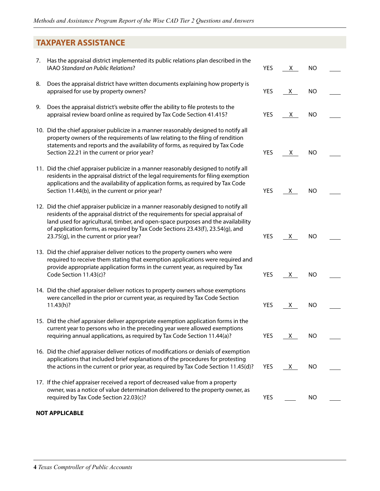### **TAXPAYER ASSISTANCE**

| 7. | Has the appraisal district implemented its public relations plan described in the<br>IAAO Standard on Public Relations?                                                                                                                                                                                                                                                                  | <b>YES</b> | <u>X</u> | <b>NO</b> |  |
|----|------------------------------------------------------------------------------------------------------------------------------------------------------------------------------------------------------------------------------------------------------------------------------------------------------------------------------------------------------------------------------------------|------------|----------|-----------|--|
| 8. | Does the appraisal district have written documents explaining how property is<br>appraised for use by property owners?                                                                                                                                                                                                                                                                   | <b>YES</b> | X        | <b>NO</b> |  |
| 9. | Does the appraisal district's website offer the ability to file protests to the<br>appraisal review board online as required by Tax Code Section 41.415?                                                                                                                                                                                                                                 | <b>YES</b> | <u>X</u> | <b>NO</b> |  |
|    | 10. Did the chief appraiser publicize in a manner reasonably designed to notify all<br>property owners of the requirements of law relating to the filing of rendition<br>statements and reports and the availability of forms, as required by Tax Code<br>Section 22.21 in the current or prior year?                                                                                    | YES        | X        | NO        |  |
|    | 11. Did the chief appraiser publicize in a manner reasonably designed to notify all<br>residents in the appraisal district of the legal requirements for filing exemption<br>applications and the availability of application forms, as required by Tax Code<br>Section 11.44(b), in the current or prior year?                                                                          | <b>YES</b> | <u>X</u> | <b>NO</b> |  |
|    | 12. Did the chief appraiser publicize in a manner reasonably designed to notify all<br>residents of the appraisal district of the requirements for special appraisal of<br>land used for agricultural, timber, and open-space purposes and the availability<br>of application forms, as required by Tax Code Sections 23.43(f), 23.54(g), and<br>23.75(g), in the current or prior year? | <b>YES</b> | $X_{-}$  | NO        |  |
|    | 13. Did the chief appraiser deliver notices to the property owners who were<br>required to receive them stating that exemption applications were required and<br>provide appropriate application forms in the current year, as required by Tax<br>Code Section 11.43(c)?                                                                                                                 | <b>YES</b> | <u>X</u> | <b>NO</b> |  |
|    | 14. Did the chief appraiser deliver notices to property owners whose exemptions<br>were cancelled in the prior or current year, as required by Tax Code Section<br>11.43(h)?                                                                                                                                                                                                             | <b>YES</b> | <u>X</u> | <b>NO</b> |  |
|    | 15. Did the chief appraiser deliver appropriate exemption application forms in the<br>current year to persons who in the preceding year were allowed exemptions<br>requiring annual applications, as required by Tax Code Section 11.44(a)?                                                                                                                                              | <b>YES</b> | $X_{-}$  | <b>NO</b> |  |
|    | 16. Did the chief appraiser deliver notices of modifications or denials of exemption<br>applications that included brief explanations of the procedures for protesting<br>the actions in the current or prior year, as required by Tax Code Section 11.45(d)?                                                                                                                            | <b>YES</b> | X        | NO        |  |
|    | 17. If the chief appraiser received a report of decreased value from a property<br>owner, was a notice of value determination delivered to the property owner, as<br>required by Tax Code Section 22.03(c)?                                                                                                                                                                              | YES        |          | <b>NO</b> |  |

#### **NOT APPLICABLE**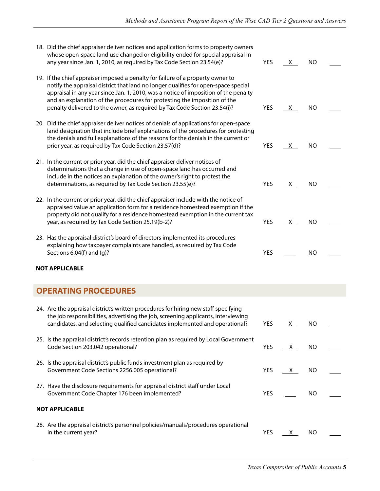| 18. Did the chief appraiser deliver notices and application forms to property owners<br>whose open-space land use changed or eligibility ended for special appraisal in<br>any year since Jan. 1, 2010, as required by Tax Code Section 23.54(e)?                                                                                                                                                                      | <b>YES</b> | $X_{-}$  | <b>NO</b> |  |
|------------------------------------------------------------------------------------------------------------------------------------------------------------------------------------------------------------------------------------------------------------------------------------------------------------------------------------------------------------------------------------------------------------------------|------------|----------|-----------|--|
| 19. If the chief appraiser imposed a penalty for failure of a property owner to<br>notify the appraisal district that land no longer qualifies for open-space special<br>appraisal in any year since Jan. 1, 2010, was a notice of imposition of the penalty<br>and an explanation of the procedures for protesting the imposition of the<br>penalty delivered to the owner, as required by Tax Code Section 23.54(i)? | <b>YES</b> | <u>X</u> | NO        |  |
| 20. Did the chief appraiser deliver notices of denials of applications for open-space<br>land designation that include brief explanations of the procedures for protesting<br>the denials and full explanations of the reasons for the denials in the current or<br>prior year, as required by Tax Code Section 23.57(d)?                                                                                              | YES        | $X_{-}$  | NO        |  |
| 21. In the current or prior year, did the chief appraiser deliver notices of<br>determinations that a change in use of open-space land has occurred and<br>include in the notices an explanation of the owner's right to protest the<br>determinations, as required by Tax Code Section 23.55(e)?                                                                                                                      | YES        | <u>X</u> | NO        |  |
| 22. In the current or prior year, did the chief appraiser include with the notice of<br>appraised value an application form for a residence homestead exemption if the<br>property did not qualify for a residence homestead exemption in the current tax<br>year, as required by Tax Code Section 25.19(b-2)?                                                                                                         | <b>YES</b> | $X_{-}$  | <b>NO</b> |  |
| 23. Has the appraisal district's board of directors implemented its procedures<br>explaining how taxpayer complaints are handled, as required by Tax Code<br>Sections 6.04(f) and (g)?                                                                                                                                                                                                                                 | <b>YES</b> |          | <b>NO</b> |  |
| <b>NOT APPLICABLE</b>                                                                                                                                                                                                                                                                                                                                                                                                  |            |          |           |  |
| <b>OPERATING PROCEDURES</b>                                                                                                                                                                                                                                                                                                                                                                                            |            |          |           |  |
| 24. Are the appraisal district's written procedures for hiring new staff specifying<br>the job responsibilities, advertising the job, screening applicants, interviewing<br>candidates, and selecting qualified candidates implemented and operational?                                                                                                                                                                | YES        | $X_{-}$  | <b>NO</b> |  |
| 25. Is the appraisal district's records retention plan as required by Local Government<br>Code Section 203.042 operational?                                                                                                                                                                                                                                                                                            | YES        | X.       | <b>NO</b> |  |
| 26. Is the appraisal district's public funds investment plan as required by<br>Government Code Sections 2256.005 operational?                                                                                                                                                                                                                                                                                          | YES        | $X_{-}$  | NO        |  |
| 27. Have the disclosure requirements for appraisal district staff under Local<br>Government Code Chapter 176 been implemented?                                                                                                                                                                                                                                                                                         | <b>YES</b> |          | <b>NO</b> |  |
| <b>NOT APPLICABLE</b>                                                                                                                                                                                                                                                                                                                                                                                                  |            |          |           |  |
| 28. Are the appraisal district's personnel policies/manuals/procedures operational<br>in the current year?                                                                                                                                                                                                                                                                                                             | <b>YES</b> | $X_{-}$  | <b>NO</b> |  |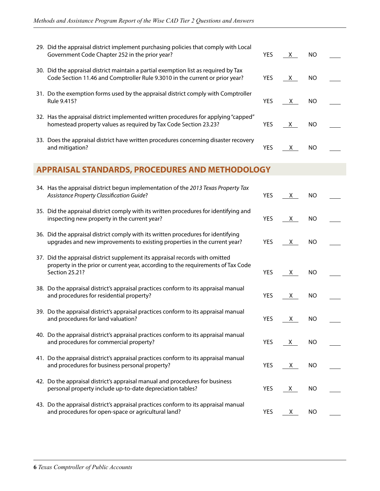| 29. Did the appraisal district implement purchasing policies that comply with Local<br>Government Code Chapter 252 in the prior year?                               | <b>YES</b> | $\mathbf{X}$ | NO. |  |
|---------------------------------------------------------------------------------------------------------------------------------------------------------------------|------------|--------------|-----|--|
| 30. Did the appraisal district maintain a partial exemption list as required by Tax<br>Code Section 11.46 and Comptroller Rule 9.3010 in the current or prior year? | <b>YES</b> | $\mathbf{X}$ | NO. |  |
| 31. Do the exemption forms used by the appraisal district comply with Comptroller<br>Rule 9.415?                                                                    | <b>YES</b> | X            | NO. |  |
| 32. Has the appraisal district implemented written procedures for applying "capped"<br>homestead property values as required by Tax Code Section 23.23?             | <b>YES</b> | X            | NO. |  |
| 33. Does the appraisal district have written procedures concerning disaster recovery<br>and mitigation?                                                             | <b>YES</b> |              | NO. |  |

### **APPRAISAL STANDARDS, PROCEDURES AND METHODOLOGY**

| 34. Has the appraisal district begun implementation of the 2013 Texas Property Tax<br>Assistance Property Classification Guide?                                                    | <b>YES</b> | X.           | <b>NO</b> |  |
|------------------------------------------------------------------------------------------------------------------------------------------------------------------------------------|------------|--------------|-----------|--|
| 35. Did the appraisal district comply with its written procedures for identifying and<br>inspecting new property in the current year?                                              | <b>YES</b> | X.           | <b>NO</b> |  |
| 36. Did the appraisal district comply with its written procedures for identifying<br>upgrades and new improvements to existing properties in the current year?                     | <b>YES</b> | X.           | <b>NO</b> |  |
| 37. Did the appraisal district supplement its appraisal records with omitted<br>property in the prior or current year, according to the requirements of Tax Code<br>Section 25.21? | <b>YES</b> | X.           | <b>NO</b> |  |
| 38. Do the appraisal district's appraisal practices conform to its appraisal manual<br>and procedures for residential property?                                                    | <b>YES</b> | X            | <b>NO</b> |  |
| 39. Do the appraisal district's appraisal practices conform to its appraisal manual<br>and procedures for land valuation?                                                          | <b>YES</b> | X            | <b>NO</b> |  |
| 40. Do the appraisal district's appraisal practices conform to its appraisal manual<br>and procedures for commercial property?                                                     | <b>YES</b> | X            | <b>NO</b> |  |
| 41. Do the appraisal district's appraisal practices conform to its appraisal manual<br>and procedures for business personal property?                                              | <b>YES</b> | $\mathsf{X}$ | <b>NO</b> |  |
| 42. Do the appraisal district's appraisal manual and procedures for business<br>personal property include up-to-date depreciation tables?                                          | <b>YES</b> | X.           | <b>NO</b> |  |
| 43. Do the appraisal district's appraisal practices conform to its appraisal manual<br>and procedures for open-space or agricultural land?                                         | <b>YES</b> | X            | <b>NO</b> |  |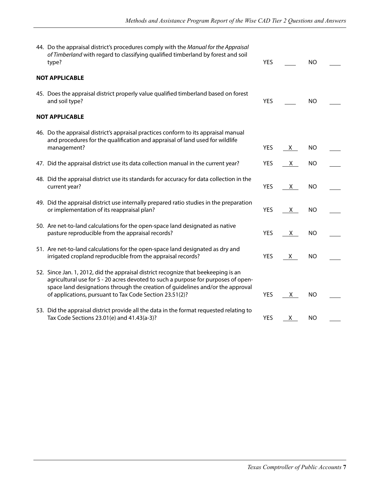| 44. Do the appraisal district's procedures comply with the Manual for the Appraisal<br>of Timberland with regard to classifying qualified timberland by forest and soil<br>type?                                                                                                                                     | <b>YES</b> |              | <b>NO</b> |  |
|----------------------------------------------------------------------------------------------------------------------------------------------------------------------------------------------------------------------------------------------------------------------------------------------------------------------|------------|--------------|-----------|--|
| <b>NOT APPLICABLE</b>                                                                                                                                                                                                                                                                                                |            |              |           |  |
| 45. Does the appraisal district properly value qualified timberland based on forest<br>and soil type?                                                                                                                                                                                                                | <b>YES</b> |              | <b>NO</b> |  |
| <b>NOT APPLICABLE</b>                                                                                                                                                                                                                                                                                                |            |              |           |  |
| 46. Do the appraisal district's appraisal practices conform to its appraisal manual<br>and procedures for the qualification and appraisal of land used for wildlife<br>management?                                                                                                                                   | <b>YES</b> | $\mathsf{X}$ | <b>NO</b> |  |
| 47. Did the appraisal district use its data collection manual in the current year?                                                                                                                                                                                                                                   | <b>YES</b> | X            | <b>NO</b> |  |
|                                                                                                                                                                                                                                                                                                                      |            |              |           |  |
| 48. Did the appraisal district use its standards for accuracy for data collection in the<br>current year?                                                                                                                                                                                                            | <b>YES</b> | X.           | <b>NO</b> |  |
| 49. Did the appraisal district use internally prepared ratio studies in the preparation<br>or implementation of its reappraisal plan?                                                                                                                                                                                | <b>YES</b> | X            | <b>NO</b> |  |
| 50. Are net-to-land calculations for the open-space land designated as native<br>pasture reproducible from the appraisal records?                                                                                                                                                                                    | <b>YES</b> | X            | <b>NO</b> |  |
| 51. Are net-to-land calculations for the open-space land designated as dry and<br>irrigated cropland reproducible from the appraisal records?                                                                                                                                                                        | <b>YES</b> | X.           | <b>NO</b> |  |
| 52. Since Jan. 1, 2012, did the appraisal district recognize that beekeeping is an<br>agricultural use for 5 - 20 acres devoted to such a purpose for purposes of open-<br>space land designations through the creation of guidelines and/or the approval<br>of applications, pursuant to Tax Code Section 23.51(2)? | <b>YES</b> | X.           | <b>NO</b> |  |
| 53. Did the appraisal district provide all the data in the format requested relating to<br>Tax Code Sections 23.01(e) and 41.43(a-3)?                                                                                                                                                                                | <b>YES</b> | X.           | <b>NO</b> |  |